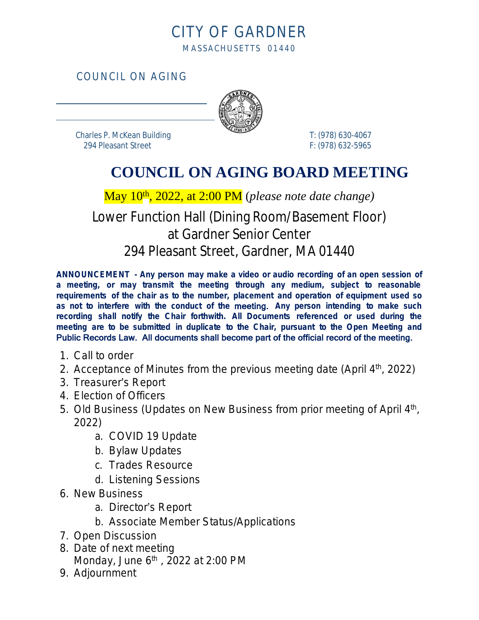## CITY OF GARDNER MASSACHUSETTS 01440

COUNCIL ON AGING



 Charles P. McKean Building T: (978) 630-4067 294 Pleasant Street F: (978) 632-5965

 $\overline{a}$ 

 $\overline{a}$ 

## **COUNCIL ON AGING BOARD MEETING**

May 10th, 2022, at 2:00 PM (*please note date change)*

## Lower Function Hall (Dining Room/Basement Floor) at Gardner Senior Center 294 Pleasant Street, Gardner, MA 01440

**ANNOUNCEMENT - Any person may make a video or audio recording of an open session of a meeting, or may transmit the meeting through any medium, subject to reasonable requirements of the chair as to the number, placement and operation of equipment used so as not to interfere with the conduct of the** meeting. **Any person intending to make such recording shall notify the Chair forthwith. All Documents referenced or used during the meeting are to be submitted in duplicate to the Chair, pursuant to the Open Meeting and** Public Records Law. All documents shall become part of the official record of the meeting.

- 1. Call to order
- 2. Acceptance of Minutes from the previous meeting date (April 4<sup>th</sup>, 2022)
- 3. Treasurer's Report
- 4. Election of Officers
- 5. Old Business (Updates on New Business from prior meeting of April 4<sup>th</sup>, 2022)
	- a. COVID 19 Update
	- b. Bylaw Updates
	- c. Trades Resource
	- d. Listening Sessions
- 6. New Business
	- a. Director's Report
	- b. Associate Member Status/Applications
- 7. Open Discussion
- 8. Date of next meeting Monday, June 6<sup>th</sup>, 2022 at 2:00 PM
- 9. Adjournment